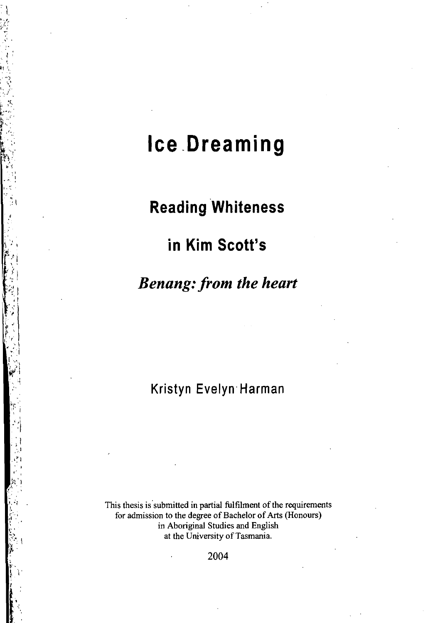# **Ice .Dreaming**

## **Reading Whiteness**

## **in Kim Scott's**

### *Benang: from the heart*

### Kristyn Evelyn Harman

**This thesis is'submitted in partial fulfilment of the requirements for admission to the degree of Bachelor of Arts (Honours) in Aboriginal Studies and English at the University of Tasmania.** 

2004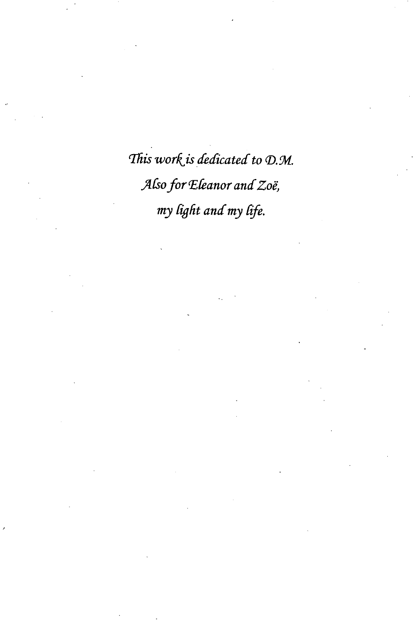This work is dedicated to D.M. Also for Eleanor and Zoë, my light and my life.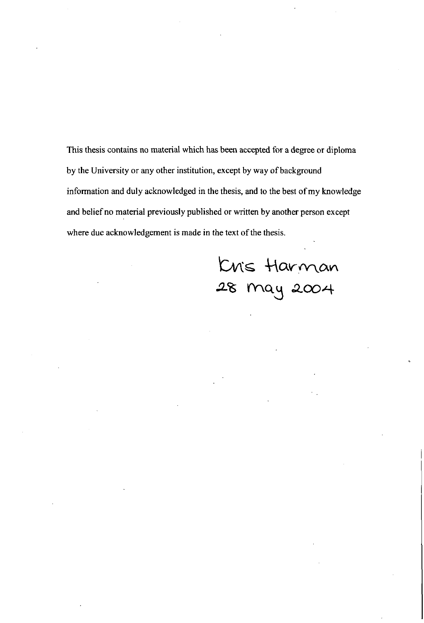This thesis contains no material which has been accepted for a degree or diploma by the University or any other institution, except by way of background information and duly acknowledged in the thesis, and to the best of my knowledge and belief no material previously published or written by another person except where due acknowledgement is made in the text of the thesis.

Kris Harman<br>28 may 2004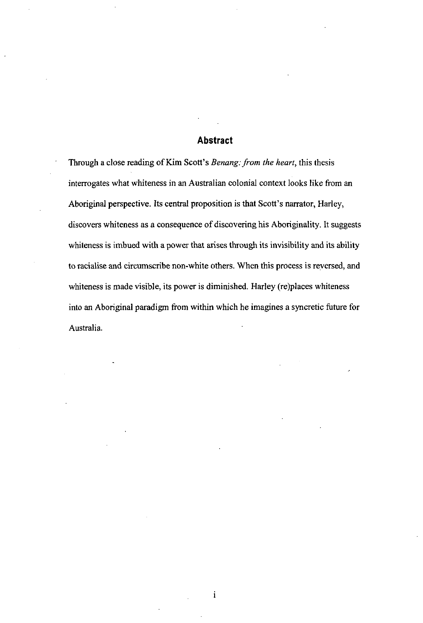#### **Abstract**

Through a close reading of Kim Scott's *Benang: from the heart,* this thesis interrogates what whiteness in an Australian colonial context looks like from an Aboriginal perspective. Its central proposition is that Scott's narrator, Harley, discovers whiteness as a consequence of discovering his Aboriginality. It suggests whiteness is imbued with a power that arises through its invisibility and its ability to racialise and circumscribe non-white others. When this process is reversed, and whiteness is made visible, its power is diminished. Harley (re)places whiteness into an Aboriginal paradigm from within which he imagines a syncretic future for Australia.

 $\mathbf{i}$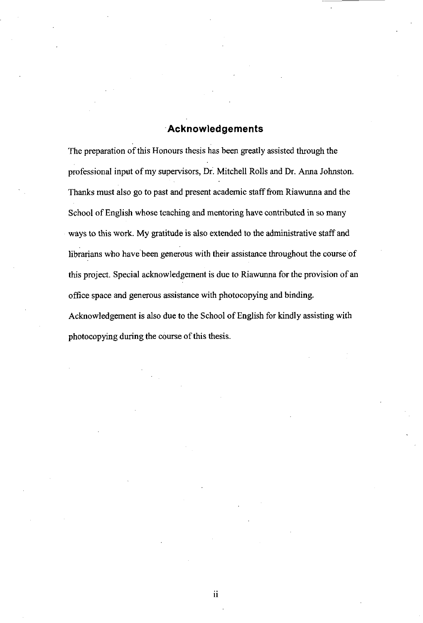#### Acknowledgements

The preparation of this Honours thesis has been greatly assisted through the professional input of my supervisors, Dr. Mitchell Rolls and Dr. Anna Johnston. Thanks must also go to past and present academic staff from Riawunna and the School of English whose teaching and mentoring have contributed in so many ways to this work. My gratitude is also extended to the administrative staff and librarians who have been generous with their assistance throughout the course of this project. Special acknowledgement is due to Riawunna for the provision of an office space and generous assistance with photocopying and binding. Acknowledgement is also due to the School of English for kindly assisting with

photocopying during the course of this thesis.

ii